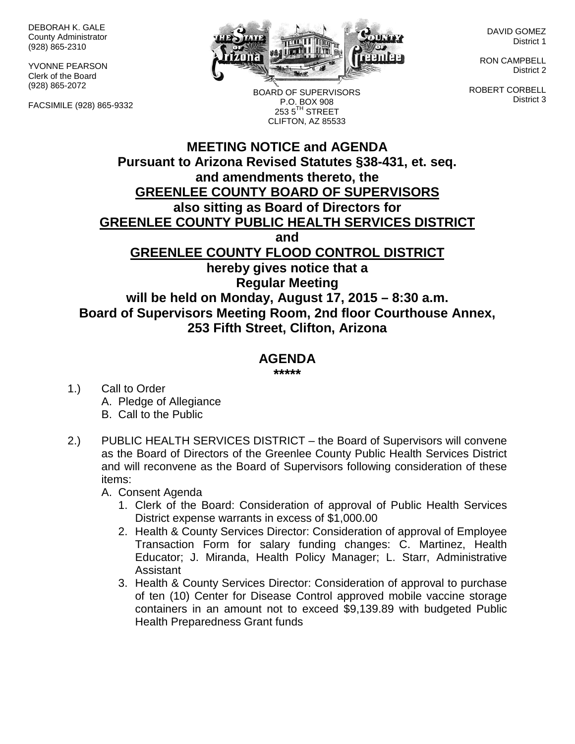DEBORAH K. GALE County Administrator (928) 865-2310

YVONNE PEARSON Clerk of the Board (928) 865-2072

FACSIMILE (928) 865-9332



BOARD OF SUPERVISORS P.O. BOX 908  $253.5$ <sup>TH</sup> STREET CLIFTON, AZ 85533

DAVID GOMEZ District 1

RON CAMPBELL District 2

ROBERT CORBELL District 3

## **MEETING NOTICE and AGENDA Pursuant to Arizona Revised Statutes §38-431, et. seq. and amendments thereto, the GREENLEE COUNTY BOARD OF SUPERVISORS also sitting as Board of Directors for GREENLEE COUNTY PUBLIC HEALTH SERVICES DISTRICT and GREENLEE COUNTY FLOOD CONTROL DISTRICT hereby gives notice that a Regular Meeting will be held on Monday, August 17, 2015 – 8:30 a.m. Board of Supervisors Meeting Room, 2nd floor Courthouse Annex, 253 Fifth Street, Clifton, Arizona**

## **AGENDA**

**\*\*\*\*\***

- 1.) Call to Order A. Pledge of Allegiance B. Call to the Public
- 2.) PUBLIC HEALTH SERVICES DISTRICT the Board of Supervisors will convene as the Board of Directors of the Greenlee County Public Health Services District and will reconvene as the Board of Supervisors following consideration of these items:

A. Consent Agenda

- 1. Clerk of the Board: Consideration of approval of Public Health Services District expense warrants in excess of \$1,000.00
- 2. Health & County Services Director: Consideration of approval of Employee Transaction Form for salary funding changes: C. Martinez, Health Educator; J. Miranda, Health Policy Manager; L. Starr, Administrative Assistant
- 3. Health & County Services Director: Consideration of approval to purchase of ten (10) Center for Disease Control approved mobile vaccine storage containers in an amount not to exceed \$9,139.89 with budgeted Public Health Preparedness Grant funds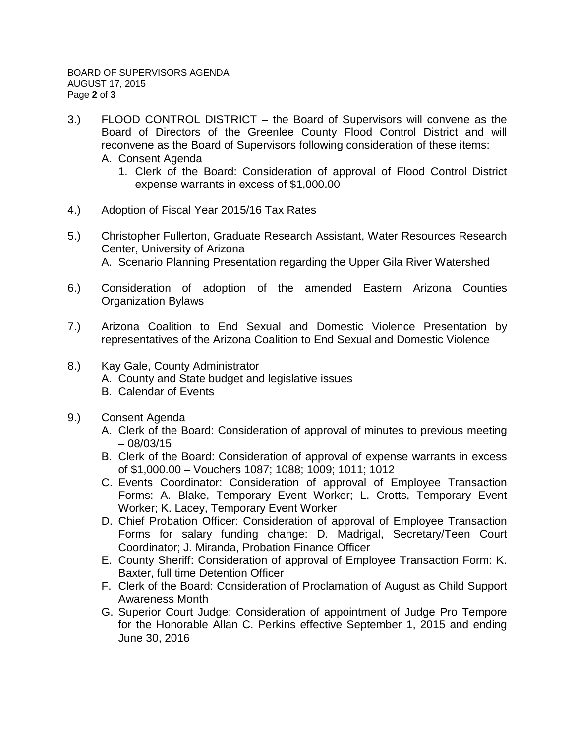- 3.) FLOOD CONTROL DISTRICT the Board of Supervisors will convene as the Board of Directors of the Greenlee County Flood Control District and will reconvene as the Board of Supervisors following consideration of these items: A. Consent Agenda
	- 1. Clerk of the Board: Consideration of approval of Flood Control District expense warrants in excess of \$1,000.00
- 4.) Adoption of Fiscal Year 2015/16 Tax Rates
- 5.) Christopher Fullerton, Graduate Research Assistant, Water Resources Research Center, University of Arizona A. Scenario Planning Presentation regarding the Upper Gila River Watershed
- 6.) Consideration of adoption of the amended Eastern Arizona Counties Organization Bylaws
- 7.) Arizona Coalition to End Sexual and Domestic Violence Presentation by representatives of the Arizona Coalition to End Sexual and Domestic Violence
- 8.) Kay Gale, County Administrator
	- A. County and State budget and legislative issues
	- B. Calendar of Events
- 9.) Consent Agenda
	- A. Clerk of the Board: Consideration of approval of minutes to previous meeting  $-08/03/15$
	- B. Clerk of the Board: Consideration of approval of expense warrants in excess of \$1,000.00 – Vouchers 1087; 1088; 1009; 1011; 1012
	- C. Events Coordinator: Consideration of approval of Employee Transaction Forms: A. Blake, Temporary Event Worker; L. Crotts, Temporary Event Worker; K. Lacey, Temporary Event Worker
	- D. Chief Probation Officer: Consideration of approval of Employee Transaction Forms for salary funding change: D. Madrigal, Secretary/Teen Court Coordinator; J. Miranda, Probation Finance Officer
	- E. County Sheriff: Consideration of approval of Employee Transaction Form: K. Baxter, full time Detention Officer
	- F. Clerk of the Board: Consideration of Proclamation of August as Child Support Awareness Month
	- G. Superior Court Judge: Consideration of appointment of Judge Pro Tempore for the Honorable Allan C. Perkins effective September 1, 2015 and ending June 30, 2016